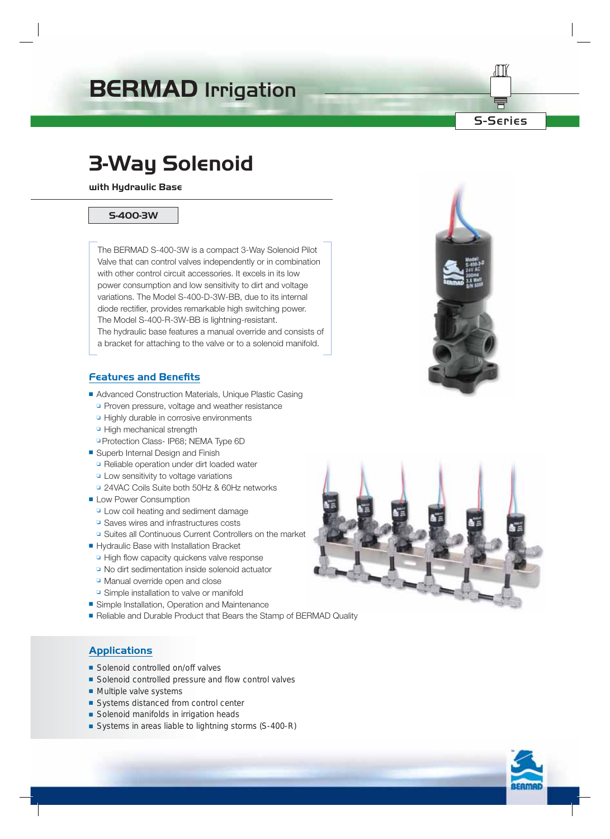# **BERMAD** Irrigation

S-Series

# **3-Way Solenoid**

**with Hydraulic Base**

#### **S-400-3W**

The BERMAD S-400-3W is a compact 3-Way Solenoid Pilot Valve that can control valves independently or in combination with other control circuit accessories. It excels in its low power consumption and low sensitivity to dirt and voltage variations. The Model S-400-D-3W-BB, due to its internal diode rectifier, provides remarkable high switching power. The Model S-400-R-3W-BB is lightning-resistant. The hydraulic base features a manual override and consists of a bracket for attaching to the valve or to a solenoid manifold.

## **Features and Benefits**

- Advanced Construction Materials, Unique Plastic Casing
	- ❏ Proven pressure, voltage and weather resistance
	- ❏ Highly durable in corrosive environments
	- ❏ High mechanical strength
	- ❏ Protection Class- IP68; NEMA Type 6D
- Superb Internal Design and Finish
	- ❏ Reliable operation under dirt loaded water
	- ❏ Low sensitivity to voltage variations
	- ❏ 24VAC Coils Suite both 50Hz & 60Hz networks
- Low Power Consumption
	- ❏ Low coil heating and sediment damage
	- ❏ Saves wires and infrastructures costs
	- ❏ Suites all Continuous Current Controllers on the market
- Hydraulic Base with Installation Bracket
	- ❏ High flow capacity quickens valve response
	- ❏ No dirt sedimentation inside solenoid actuator
	- ❏ Manual override open and close
	- ❏ Simple installation to valve or manifold
- Simple Installation, Operation and Maintenance
- Reliable and Durable Product that Bears the Stamp of BERMAD Quality

## **Applications**

- Solenoid controlled on/off valves
- Solenoid controlled pressure and flow control valves
- Multiple valve systems
- Systems distanced from control center
- Solenoid manifolds in irrigation heads
- Systems in areas liable to lightning storms (S-400-R)